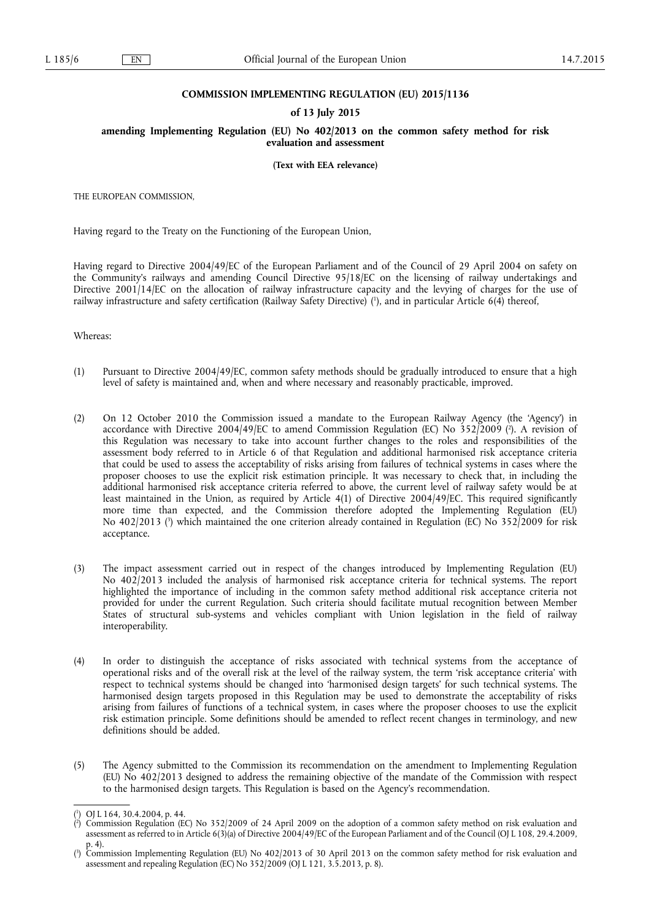## **COMMISSION IMPLEMENTING REGULATION (EU) 2015/1136**

## **of 13 July 2015**

**amending Implementing Regulation (EU) No 402/2013 on the common safety method for risk evaluation and assessment** 

**(Text with EEA relevance)** 

THE EUROPEAN COMMISSION,

Having regard to the Treaty on the Functioning of the European Union,

Having regard to Directive 2004/49/EC of the European Parliament and of the Council of 29 April 2004 on safety on the Community's railways and amending Council Directive 95/18/EC on the licensing of railway undertakings and Directive 2001/14/EC on the allocation of railway infrastructure capacity and the levying of charges for the use of railway infrastructure and safety certification (Railway Safety Directive) ( 1 ), and in particular Article 6(4) thereof,

Whereas:

- (1) Pursuant to Directive 2004/49/EC, common safety methods should be gradually introduced to ensure that a high level of safety is maintained and, when and where necessary and reasonably practicable, improved.
- (2) On 12 October 2010 the Commission issued a mandate to the European Railway Agency (the 'Agency') in accordance with Directive 2004/49/EC to amend Commission Regulation (EC) No 352/2009 ( 2 ). A revision of this Regulation was necessary to take into account further changes to the roles and responsibilities of the assessment body referred to in Article 6 of that Regulation and additional harmonised risk acceptance criteria that could be used to assess the acceptability of risks arising from failures of technical systems in cases where the proposer chooses to use the explicit risk estimation principle. It was necessary to check that, in including the additional harmonised risk acceptance criteria referred to above, the current level of railway safety would be at least maintained in the Union, as required by Article 4(1) of Directive 2004/49/EC. This required significantly more time than expected, and the Commission therefore adopted the Implementing Regulation (EU) No 402/2013 ( 3 ) which maintained the one criterion already contained in Regulation (EC) No 352/2009 for risk acceptance.
- (3) The impact assessment carried out in respect of the changes introduced by Implementing Regulation (EU) No 402/2013 included the analysis of harmonised risk acceptance criteria for technical systems. The report highlighted the importance of including in the common safety method additional risk acceptance criteria not provided for under the current Regulation. Such criteria should facilitate mutual recognition between Member States of structural sub-systems and vehicles compliant with Union legislation in the field of railway interoperability.
- (4) In order to distinguish the acceptance of risks associated with technical systems from the acceptance of operational risks and of the overall risk at the level of the railway system, the term 'risk acceptance criteria' with respect to technical systems should be changed into 'harmonised design targets' for such technical systems. The harmonised design targets proposed in this Regulation may be used to demonstrate the acceptability of risks arising from failures of functions of a technical system, in cases where the proposer chooses to use the explicit risk estimation principle. Some definitions should be amended to reflect recent changes in terminology, and new definitions should be added.
- (5) The Agency submitted to the Commission its recommendation on the amendment to Implementing Regulation (EU) No 402/2013 designed to address the remaining objective of the mandate of the Commission with respect to the harmonised design targets. This Regulation is based on the Agency's recommendation.

<sup>(</sup> 1 ) OJ L 164, 30.4.2004, p. 44.

<sup>(</sup> 2 ) Commission Regulation (EC) No 352/2009 of 24 April 2009 on the adoption of a common safety method on risk evaluation and assessment as referred to in Article 6(3)(a) of Directive 2004/49/EC of the European Parliament and of the Council (OJ L 108, 29.4.2009, p. 4).

<sup>(</sup> 3 ) Commission Implementing Regulation (EU) No 402/2013 of 30 April 2013 on the common safety method for risk evaluation and assessment and repealing Regulation (EC) No 352/2009 (OJ L 121, 3.5.2013, p. 8).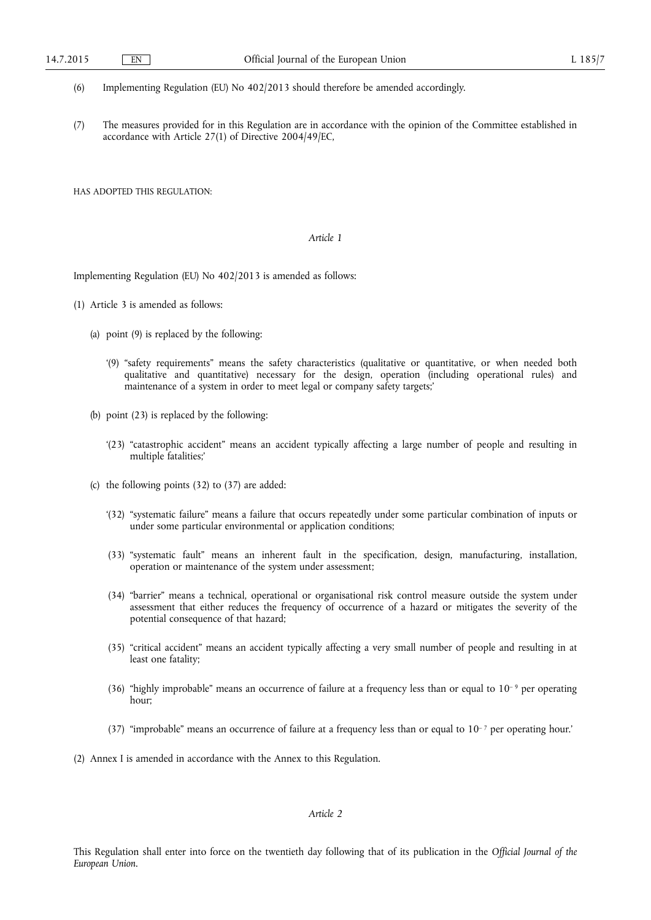- (6) Implementing Regulation (EU) No 402/2013 should therefore be amended accordingly.
- (7) The measures provided for in this Regulation are in accordance with the opinion of the Committee established in accordance with Article 27(1) of Directive 2004/49/EC,

HAS ADOPTED THIS REGULATION:

## *Article 1*

Implementing Regulation (EU) No 402/2013 is amended as follows:

- (1) Article 3 is amended as follows:
	- (a) point (9) is replaced by the following:
		- '(9) "safety requirements" means the safety characteristics (qualitative or quantitative, or when needed both qualitative and quantitative) necessary for the design, operation (including operational rules) and maintenance of a system in order to meet legal or company safety targets;'
	- (b) point (23) is replaced by the following:
		- '(23) "catastrophic accident" means an accident typically affecting a large number of people and resulting in multiple fatalities;'
	- (c) the following points (32) to (37) are added:
		- '(32) "systematic failure" means a failure that occurs repeatedly under some particular combination of inputs or under some particular environmental or application conditions;
		- (33) "systematic fault" means an inherent fault in the specification, design, manufacturing, installation, operation or maintenance of the system under assessment;
		- (34) "barrier" means a technical, operational or organisational risk control measure outside the system under assessment that either reduces the frequency of occurrence of a hazard or mitigates the severity of the potential consequence of that hazard;
		- (35) "critical accident" means an accident typically affecting a very small number of people and resulting in at least one fatality;
		- (36) "highly improbable" means an occurrence of failure at a frequency less than or equal to  $10^{-9}$  per operating hour;
		- (37) "improbable" means an occurrence of failure at a frequency less than or equal to  $10^{-7}$  per operating hour.'

(2) Annex I is amended in accordance with the Annex to this Regulation.

*Article 2* 

This Regulation shall enter into force on the twentieth day following that of its publication in the *Official Journal of the European Union*.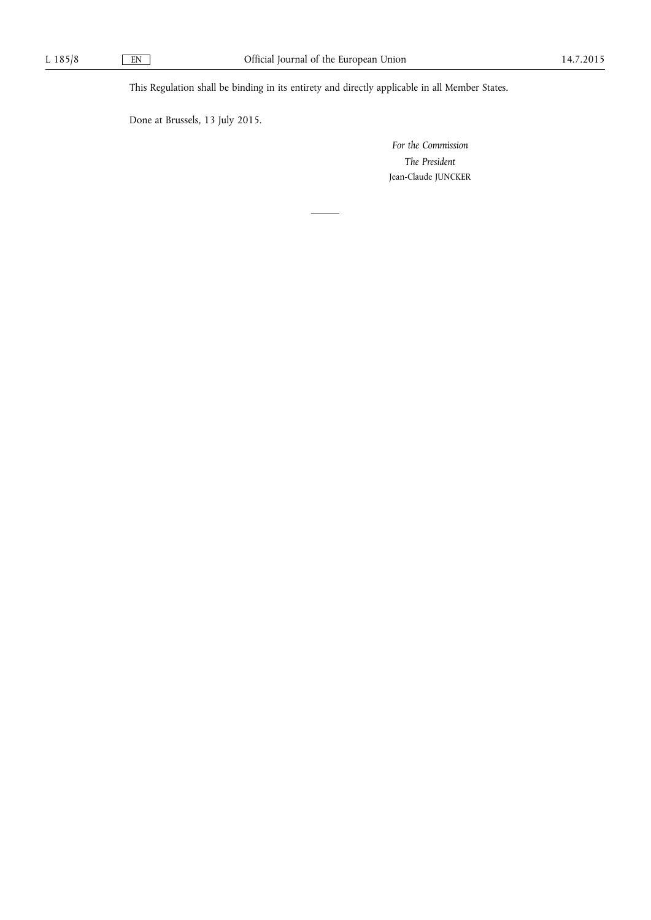This Regulation shall be binding in its entirety and directly applicable in all Member States.

Done at Brussels, 13 July 2015.

*For the Commission The President*  Jean-Claude JUNCKER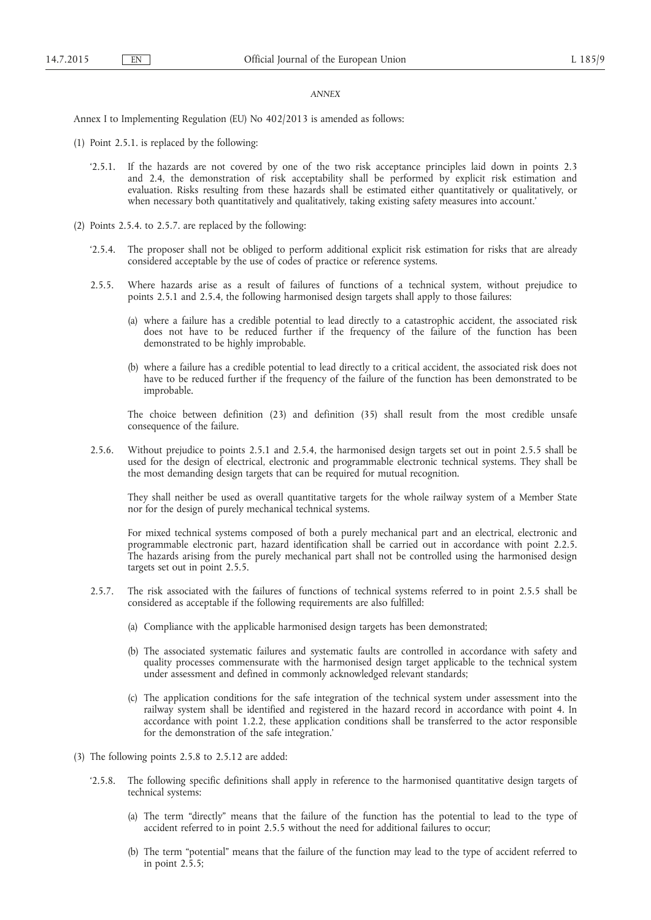## *ANNEX*

Annex I to Implementing Regulation (EU) No 402/2013 is amended as follows:

- (1) Point 2.5.1. is replaced by the following:
	- '2.5.1. If the hazards are not covered by one of the two risk acceptance principles laid down in points 2.3 and 2.4, the demonstration of risk acceptability shall be performed by explicit risk estimation and evaluation. Risks resulting from these hazards shall be estimated either quantitatively or qualitatively, or when necessary both quantitatively and qualitatively, taking existing safety measures into account.'
- (2) Points 2.5.4. to 2.5.7. are replaced by the following:
	- '2.5.4. The proposer shall not be obliged to perform additional explicit risk estimation for risks that are already considered acceptable by the use of codes of practice or reference systems.
	- 2.5.5. Where hazards arise as a result of failures of functions of a technical system, without prejudice to points 2.5.1 and 2.5.4, the following harmonised design targets shall apply to those failures:
		- (a) where a failure has a credible potential to lead directly to a catastrophic accident, the associated risk does not have to be reduced further if the frequency of the failure of the function has been demonstrated to be highly improbable.
		- (b) where a failure has a credible potential to lead directly to a critical accident, the associated risk does not have to be reduced further if the frequency of the failure of the function has been demonstrated to be improbable.

The choice between definition (23) and definition (35) shall result from the most credible unsafe consequence of the failure.

2.5.6. Without prejudice to points 2.5.1 and 2.5.4, the harmonised design targets set out in point 2.5.5 shall be used for the design of electrical, electronic and programmable electronic technical systems. They shall be the most demanding design targets that can be required for mutual recognition.

They shall neither be used as overall quantitative targets for the whole railway system of a Member State nor for the design of purely mechanical technical systems.

For mixed technical systems composed of both a purely mechanical part and an electrical, electronic and programmable electronic part, hazard identification shall be carried out in accordance with point 2.2.5. The hazards arising from the purely mechanical part shall not be controlled using the harmonised design targets set out in point 2.5.5.

- 2.5.7. The risk associated with the failures of functions of technical systems referred to in point 2.5.5 shall be considered as acceptable if the following requirements are also fulfilled:
	- (a) Compliance with the applicable harmonised design targets has been demonstrated;
	- (b) The associated systematic failures and systematic faults are controlled in accordance with safety and quality processes commensurate with the harmonised design target applicable to the technical system under assessment and defined in commonly acknowledged relevant standards;
	- (c) The application conditions for the safe integration of the technical system under assessment into the railway system shall be identified and registered in the hazard record in accordance with point 4. In accordance with point 1.2.2, these application conditions shall be transferred to the actor responsible for the demonstration of the safe integration.'
- (3) The following points 2.5.8 to 2.5.12 are added:
	- '2.5.8. The following specific definitions shall apply in reference to the harmonised quantitative design targets of technical systems:
		- (a) The term "directly" means that the failure of the function has the potential to lead to the type of accident referred to in point 2.5.5 without the need for additional failures to occur;
		- (b) The term "potential" means that the failure of the function may lead to the type of accident referred to in point 2.5.5;